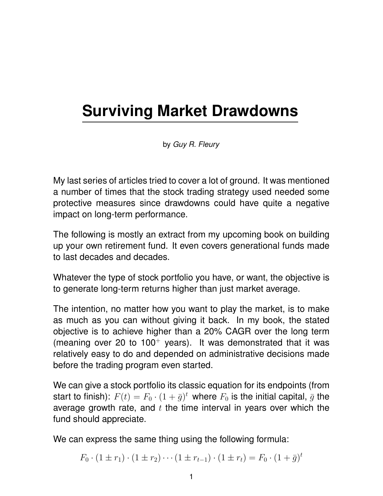# **Surviving Market Drawdowns**

by *Guy R. Fleury*

My last series of articles tried to cover a lot of ground. It was mentioned a number of times that the stock trading strategy used needed some protective measures since drawdowns could have quite a negative impact on long-term performance.

The following is mostly an extract from my upcoming book on building up your own retirement fund. It even covers generational funds made to last decades and decades.

Whatever the type of stock portfolio you have, or want, the objective is to generate long-term returns higher than just market average.

The intention, no matter how you want to play the market, is to make as much as you can without giving it back. In my book, the stated objective is to achieve higher than a 20% CAGR over the long term (meaning over 20 to  $100<sup>+</sup>$  years). It was demonstrated that it was relatively easy to do and depended on administrative decisions made before the trading program even started.

We can give a stock portfolio its classic equation for its endpoints (from start to finish):  $F(t) = F_0 \cdot (1 + \bar{g})^t$  where  $F_0$  is the initial capital,  $\bar{g}$  the average growth rate, and  $t$  the time interval in years over which the fund should appreciate.

We can express the same thing using the following formula:

$$
F_0 \cdot (1 \pm r_1) \cdot (1 \pm r_2) \cdots (1 \pm r_{t-1}) \cdot (1 \pm r_t) = F_0 \cdot (1 + \bar{g})^t
$$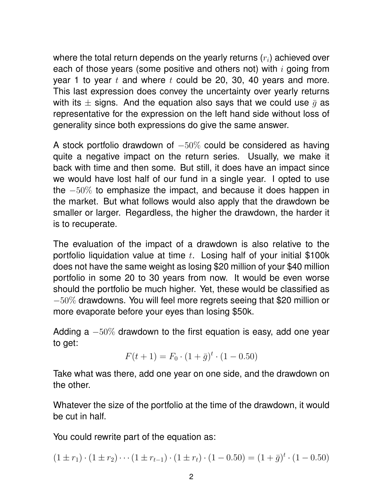where the total return depends on the yearly returns  $(r_i)$  achieved over each of those years (some positive and others not) with  $i$  going from year 1 to year  $t$  and where  $t$  could be 20, 30, 40 years and more. This last expression does convey the uncertainty over yearly returns with its  $\pm$  signs. And the equation also says that we could use  $\bar{q}$  as representative for the expression on the left hand side without loss of generality since both expressions do give the same answer.

A stock portfolio drawdown of  $-50\%$  could be considered as having quite a negative impact on the return series. Usually, we make it back with time and then some. But still, it does have an impact since we would have lost half of our fund in a single year. I opted to use the −50% to emphasize the impact, and because it does happen in the market. But what follows would also apply that the drawdown be smaller or larger. Regardless, the higher the drawdown, the harder it is to recuperate.

The evaluation of the impact of a drawdown is also relative to the portfolio liquidation value at time  $t$ . Losing half of your initial \$100k does not have the same weight as losing \$20 million of your \$40 million portfolio in some 20 to 30 years from now. It would be even worse should the portfolio be much higher. Yet, these would be classified as  $-50\%$  drawdowns. You will feel more regrets seeing that \$20 million or more evaporate before your eyes than losing \$50k.

Adding a  $-50\%$  drawdown to the first equation is easy, add one year to get:

$$
F(t+1) = F_0 \cdot (1 + \bar{g})^t \cdot (1 - 0.50)
$$

Take what was there, add one year on one side, and the drawdown on the other.

Whatever the size of the portfolio at the time of the drawdown, it would be cut in half.

You could rewrite part of the equation as:

$$
(1 \pm r_1) \cdot (1 \pm r_2) \cdots (1 \pm r_{t-1}) \cdot (1 \pm r_t) \cdot (1 - 0.50) = (1 + \bar{g})^t \cdot (1 - 0.50)
$$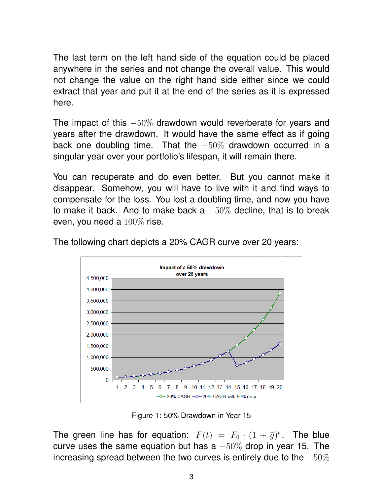The last term on the left hand side of the equation could be placed anywhere in the series and not change the overall value. This would not change the value on the right hand side either since we could extract that year and put it at the end of the series as it is expressed here.

The impact of this  $-50\%$  drawdown would reverberate for years and years after the drawdown. It would have the same effect as if going back one doubling time. That the −50% drawdown occurred in a singular year over your portfolio's lifespan, it will remain there.

You can recuperate and do even better. But you cannot make it disappear. Somehow, you will have to live with it and find ways to compensate for the loss. You lost a doubling time, and now you have to make it back. And to make back a  $-50\%$  decline, that is to break even, you need a 100% rise.



The following chart depicts a 20% CAGR curve over 20 years:

Figure 1: 50% Drawdown in Year 15

The green line has for equation:  $F(t) = F_0 \cdot (1 + \bar{g})^t$ . The blue curve uses the same equation but has a  $-50\%$  drop in year 15. The increasing spread between the two curves is entirely due to the  $-50\%$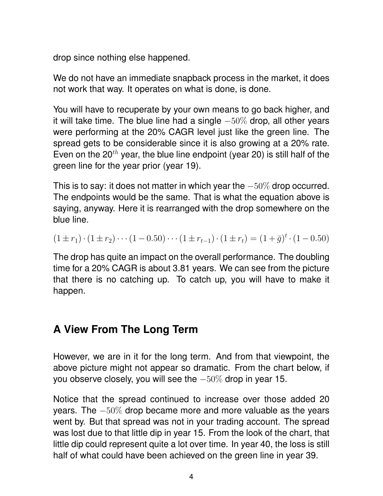drop since nothing else happened.

We do not have an immediate snapback process in the market, it does not work that way. It operates on what is done, is done.

You will have to recuperate by your own means to go back higher, and it will take time. The blue line had a single  $-50\%$  drop, all other years were performing at the 20% CAGR level just like the green line. The spread gets to be considerable since it is also growing at a 20% rate. Even on the 20<sup>th</sup> year, the blue line endpoint (year 20) is still half of the green line for the year prior (year 19).

This is to say: it does not matter in which year the  $-50\%$  drop occurred. The endpoints would be the same. That is what the equation above is saying, anyway. Here it is rearranged with the drop somewhere on the blue line.

$$
(1 \pm r_1) \cdot (1 \pm r_2) \cdots (1 - 0.50) \cdots (1 \pm r_{t-1}) \cdot (1 \pm r_t) = (1 + \bar{g})^t \cdot (1 - 0.50)
$$

The drop has quite an impact on the overall performance. The doubling time for a 20% CAGR is about 3.81 years. We can see from the picture that there is no catching up. To catch up, you will have to make it happen.

## **A View From The Long Term**

However, we are in it for the long term. And from that viewpoint, the above picture might not appear so dramatic. From the chart below, if you observe closely, you will see the −50% drop in year 15.

Notice that the spread continued to increase over those added 20 years. The −50% drop became more and more valuable as the years went by. But that spread was not in your trading account. The spread was lost due to that little dip in year 15. From the look of the chart, that little dip could represent quite a lot over time. In year 40, the loss is still half of what could have been achieved on the green line in year 39.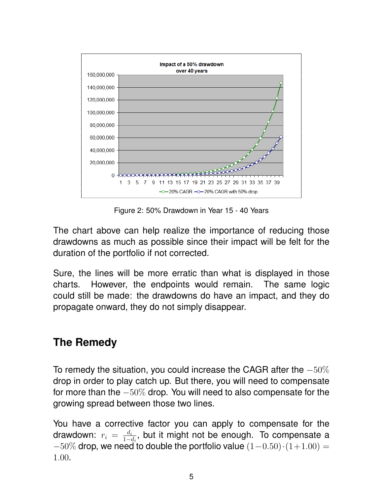

Figure 2: 50% Drawdown in Year 15 - 40 Years

The chart above can help realize the importance of reducing those drawdowns as much as possible since their impact will be felt for the duration of the portfolio if not corrected.

Sure, the lines will be more erratic than what is displayed in those charts. However, the endpoints would remain. The same logic could still be made: the drawdowns do have an impact, and they do propagate onward, they do not simply disappear.

### **The Remedy**

To remedy the situation, you could increase the CAGR after the −50% drop in order to play catch up. But there, you will need to compensate for more than the  $-50\%$  drop. You will need to also compensate for the growing spread between those two lines.

You have a corrective factor you can apply to compensate for the drawdown:  $r_i = \frac{d_i}{1 - d_i}$  $\frac{d_i}{1-d_i}$ , but it might not be enough. To compensate a  $-50\%$  drop, we need to double the portfolio value  $(1-0.50)\cdot(1+1.00)$  = 1.00.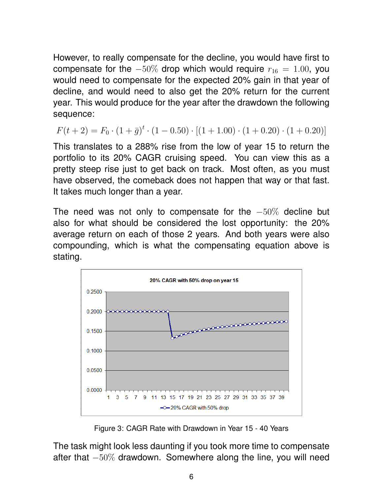However, to really compensate for the decline, you would have first to compensate for the  $-50\%$  drop which would require  $r_{16} = 1.00$ , you would need to compensate for the expected 20% gain in that year of decline, and would need to also get the 20% return for the current year. This would produce for the year after the drawdown the following sequence:

$$
F(t+2) = F_0 \cdot (1+\bar{g})^t \cdot (1-0.50) \cdot [(1+1.00) \cdot (1+0.20) \cdot (1+0.20)]
$$

This translates to a 288% rise from the low of year 15 to return the portfolio to its 20% CAGR cruising speed. You can view this as a pretty steep rise just to get back on track. Most often, as you must have observed, the comeback does not happen that way or that fast. It takes much longer than a year.

The need was not only to compensate for the  $-50\%$  decline but also for what should be considered the lost opportunity: the 20% average return on each of those 2 years. And both years were also compounding, which is what the compensating equation above is stating.



Figure 3: CAGR Rate with Drawdown in Year 15 - 40 Years

The task might look less daunting if you took more time to compensate after that −50% drawdown. Somewhere along the line, you will need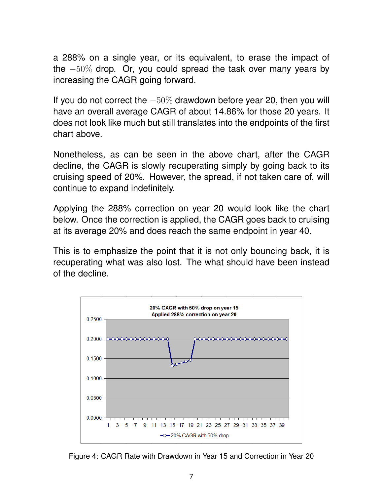a 288% on a single year, or its equivalent, to erase the impact of the −50% drop. Or, you could spread the task over many years by increasing the CAGR going forward.

If you do not correct the  $-50\%$  drawdown before year 20, then you will have an overall average CAGR of about 14.86% for those 20 years. It does not look like much but still translates into the endpoints of the first chart above.

Nonetheless, as can be seen in the above chart, after the CAGR decline, the CAGR is slowly recuperating simply by going back to its cruising speed of 20%. However, the spread, if not taken care of, will continue to expand indefinitely.

Applying the 288% correction on year 20 would look like the chart below. Once the correction is applied, the CAGR goes back to cruising at its average 20% and does reach the same endpoint in year 40.

This is to emphasize the point that it is not only bouncing back, it is recuperating what was also lost. The what should have been instead of the decline.



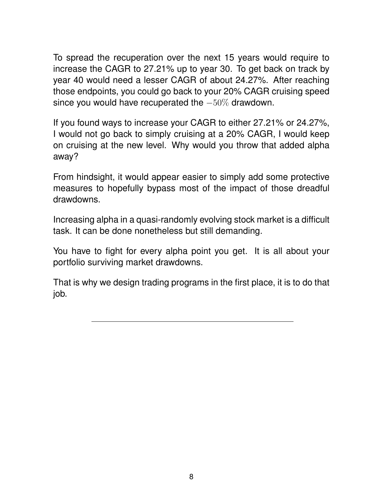To spread the recuperation over the next 15 years would require to increase the CAGR to 27.21% up to year 30. To get back on track by year 40 would need a lesser CAGR of about 24.27%. After reaching those endpoints, you could go back to your 20% CAGR cruising speed since you would have recuperated the  $-50\%$  drawdown.

If you found ways to increase your CAGR to either 27.21% or 24.27%, I would not go back to simply cruising at a 20% CAGR, I would keep on cruising at the new level. Why would you throw that added alpha away?

From hindsight, it would appear easier to simply add some protective measures to hopefully bypass most of the impact of those dreadful drawdowns.

Increasing alpha in a quasi-randomly evolving stock market is a difficult task. It can be done nonetheless but still demanding.

You have to fight for every alpha point you get. It is all about your portfolio surviving market drawdowns.

That is why we design trading programs in the first place, it is to do that job.